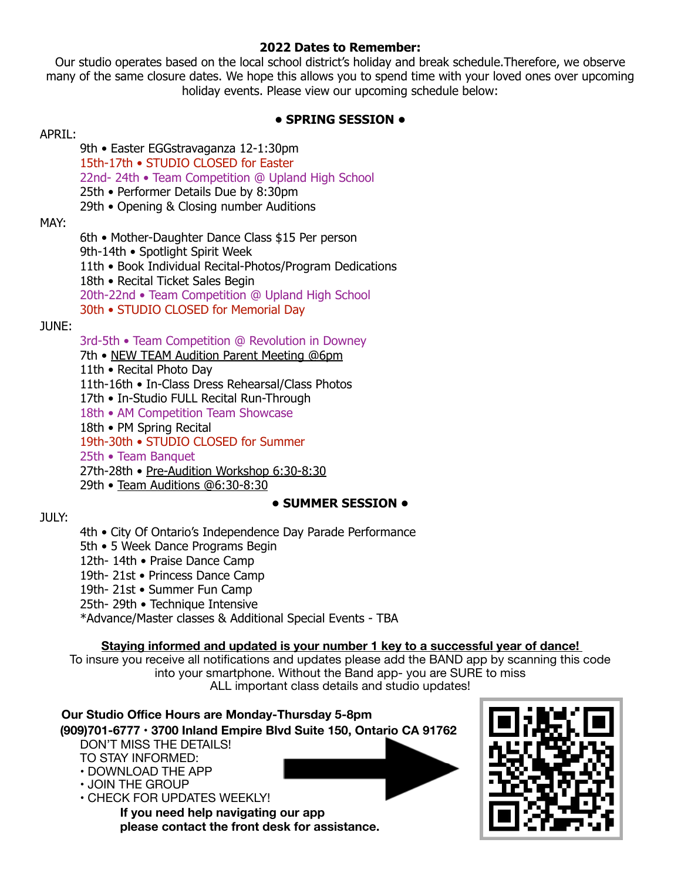#### **2022 Dates to Remember:**

Our studio operates based on the local school district's holiday and break schedule.Therefore, we observe many of the same closure dates. We hope this allows you to spend time with your loved ones over upcoming holiday events. Please view our upcoming schedule below:

# **• SPRING SESSION •**

#### APRIL:

- 9th Easter EGGstravaganza 12-1:30pm
- 15th-17th STUDIO CLOSED for Easter
- 22nd- 24th Team Competition @ Upland High School
- 25th Performer Details Due by 8:30pm
- 29th Opening & Closing number Auditions

### MAY:

- 6th Mother-Daughter Dance Class \$15 Per person
- 9th-14th Spotlight Spirit Week
- 11th Book Individual Recital-Photos/Program Dedications
- 18th Recital Ticket Sales Begin
- 20th-22nd Team Competition @ Upland High School
- 30th STUDIO CLOSED for Memorial Day

# JUNE:

- 3rd-5th Team Competition @ Revolution in Downey
- 7th NEW TEAM Audition Parent Meeting @6pm
- 11th Recital Photo Day
- 11th-16th In-Class Dress Rehearsal/Class Photos
- 17th In-Studio FULL Recital Run-Through
- 18th AM Competition Team Showcase
- 18th PM Spring Recital
- 19th-30th STUDIO CLOSED for Summer
- 25th Team Banquet
- 27th-28th Pre-Audition Workshop 6:30-8:30
- 29th Team Auditions @6:30-8:30

# **• SUMMER SESSION •**

# $JUIV:$

- 4th City Of Ontario's Independence Day Parade Performance
- 5th 5 Week Dance Programs Begin
- 12th- 14th Praise Dance Camp
- 19th- 21st Princess Dance Camp
- 19th- 21st Summer Fun Camp
- 25th- 29th Technique Intensive
- \*Advance/Master classes & Additional Special Events TBA

# **Staying informed and updated is your number 1 key to a successful year of dance!**

To insure you receive all notifications and updates please add the BAND app by scanning this code into your smartphone. Without the Band app- you are SURE to miss ALL important class details and studio updates!

#### **Our Studio Office Hours are Monday-Thursday 5-8pm (909)701-6777 • 3700 Inland Empire Blvd Suite 150, Ontario CA 91762**  DON'T MISS THE DETAILS! TO STAY INFORMED: • DOWNLOAD THE APP • JOIN THE GROUP • CHECK FOR UPDATES WEEKLY! **If you need help navigating our app please contact the front desk for assistance.**

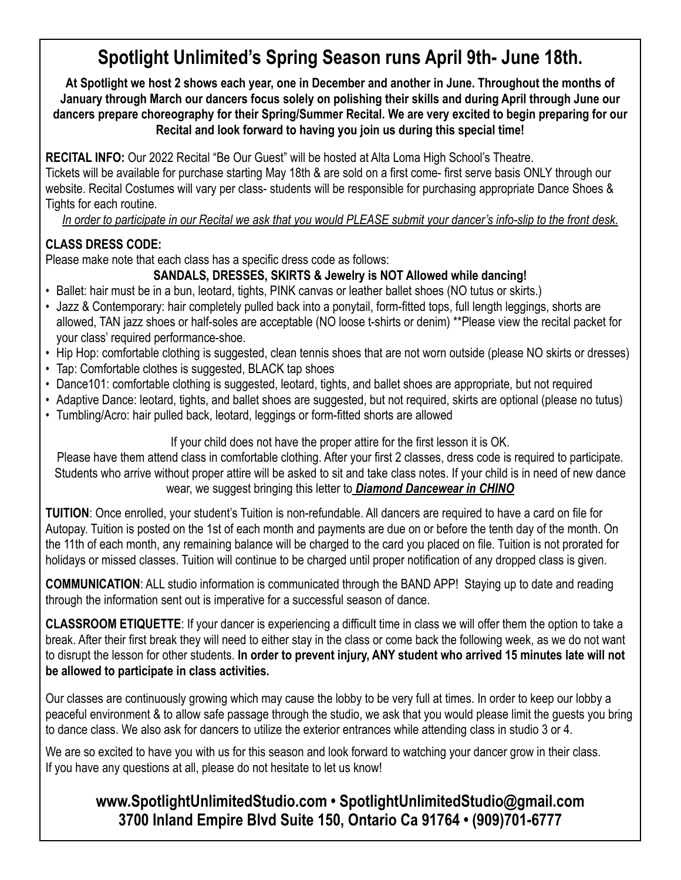# **Spotlight Unlimited's Spring Season runs April 9th- June 18th.**

**At Spotlight we host 2 shows each year, one in December and another in June. Throughout the months of January through March our dancers focus solely on polishing their skills and during April through June our dancers prepare choreography for their Spring/Summer Recital. We are very excited to begin preparing for our Recital and look forward to having you join us during this special time!** 

**RECITAL INFO:** Our 2022 Recital "Be Our Guest" will be hosted at Alta Loma High School's Theatre.

Tickets will be available for purchase starting May 18th & are sold on a first come- first serve basis ONLY through our website. Recital Costumes will vary per class- students will be responsible for purchasing appropriate Dance Shoes & Tights for each routine.

*In order to participate in our Recital we ask that you would PLEASE submit your dancer's info-slip to the front desk.* 

# **CLASS DRESS CODE:**

Please make note that each class has a specific dress code as follows:

# **SANDALS, DRESSES, SKIRTS & Jewelry is NOT Allowed while dancing!**

- Ballet: hair must be in a bun, leotard, tights, PINK canvas or leather ballet shoes (NO tutus or skirts.)
- Jazz & Contemporary: hair completely pulled back into a ponytail, form-fitted tops, full length leggings, shorts are allowed, TAN jazz shoes or half-soles are acceptable (NO loose t-shirts or denim) \*\*Please view the recital packet for your class' required performance-shoe.
- Hip Hop: comfortable clothing is suggested, clean tennis shoes that are not worn outside (please NO skirts or dresses)
- Tap: Comfortable clothes is suggested, BLACK tap shoes
- Dance101: comfortable clothing is suggested, leotard, tights, and ballet shoes are appropriate, but not required
- Adaptive Dance: leotard, tights, and ballet shoes are suggested, but not required, skirts are optional (please no tutus)
- Tumbling/Acro: hair pulled back, leotard, leggings or form-fitted shorts are allowed

If your child does not have the proper attire for the first lesson it is OK.

Please have them attend class in comfortable clothing. After your first 2 classes, dress code is required to participate. Students who arrive without proper attire will be asked to sit and take class notes. If your child is in need of new dance wear, we suggest bringing this letter to *Diamond Dancewear in CHINO*

**TUITION**: Once enrolled, your student's Tuition is non-refundable. All dancers are required to have a card on file for Autopay. Tuition is posted on the 1st of each month and payments are due on or before the tenth day of the month. On the 11th of each month, any remaining balance will be charged to the card you placed on file. Tuition is not prorated for holidays or missed classes. Tuition will continue to be charged until proper notification of any dropped class is given.

**COMMUNICATION**: ALL studio information is communicated through the BAND APP! Staying up to date and reading through the information sent out is imperative for a successful season of dance.

**CLASSROOM ETIQUETTE**: If your dancer is experiencing a difficult time in class we will offer them the option to take a break. After their first break they will need to either stay in the class or come back the following week, as we do not want to disrupt the lesson for other students. **In order to prevent injury, ANY student who arrived 15 minutes late will not be allowed to participate in class activities.** 

Our classes are continuously growing which may cause the lobby to be very full at times. In order to keep our lobby a peaceful environment & to allow safe passage through the studio, we ask that you would please limit the guests you bring to dance class. We also ask for dancers to utilize the exterior entrances while attending class in studio 3 or 4.

We are so excited to have you with us for this season and look forward to watching your dancer grow in their class. If you have any questions at all, please do not hesitate to let us know!

# **www.SpotlightUnlimitedStudio.com • SpotlightUnlimitedStudio@gmail.com 3700 Inland Empire Blvd Suite 150, Ontario Ca 91764 • (909)701-6777**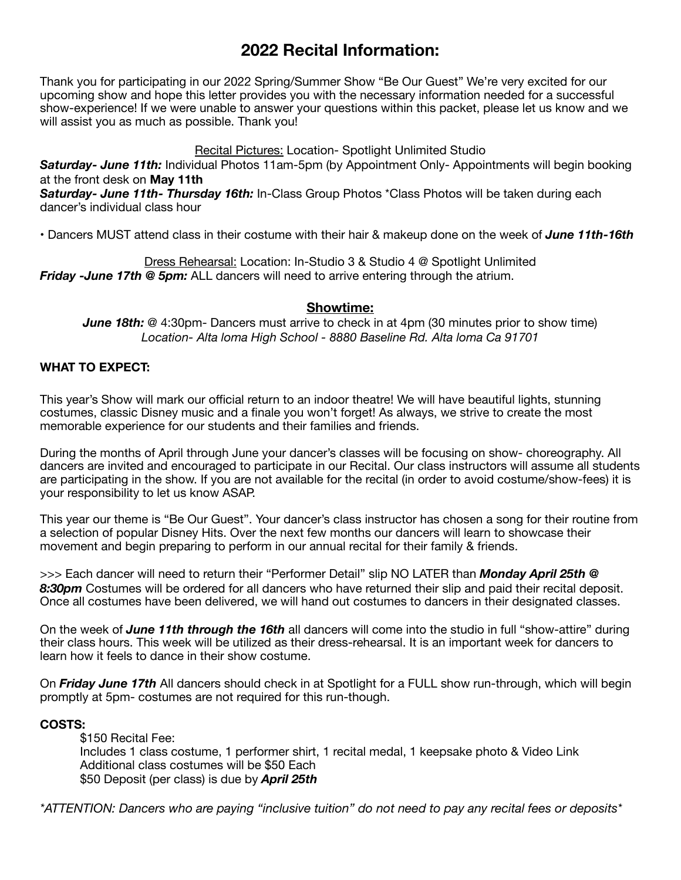# **2022 Recital Information:**

Thank you for participating in our 2022 Spring/Summer Show "Be Our Guest" We're very excited for our upcoming show and hope this letter provides you with the necessary information needed for a successful show-experience! If we were unable to answer your questions within this packet, please let us know and we will assist you as much as possible. Thank you!

### Recital Pictures: Location- Spotlight Unlimited Studio

*Saturday- June 11th:* Individual Photos 11am-5pm (by Appointment Only- Appointments will begin booking at the front desk on **May 11th**

*Saturday- June 11th- Thursday 16th:* In-Class Group Photos \*Class Photos will be taken during each dancer's individual class hour

• Dancers MUST attend class in their costume with their hair & makeup done on the week of *June 11th-16th*

Dress Rehearsal: Location: In-Studio 3 & Studio 4 @ Spotlight Unlimited *Friday -June 17th @ 5pm:* ALL dancers will need to arrive entering through the atrium.

#### **Showtime:**

*June 18th:* @ 4:30pm- Dancers must arrive to check in at 4pm (30 minutes prior to show time) *Location- Alta loma High School - 8880 Baseline Rd. Alta loma Ca 91701*

#### **WHAT TO EXPECT:**

This year's Show will mark our official return to an indoor theatre! We will have beautiful lights, stunning costumes, classic Disney music and a finale you won't forget! As always, we strive to create the most memorable experience for our students and their families and friends.

During the months of April through June your dancer's classes will be focusing on show- choreography. All dancers are invited and encouraged to participate in our Recital. Our class instructors will assume all students are participating in the show. If you are not available for the recital (in order to avoid costume/show-fees) it is your responsibility to let us know ASAP.

This year our theme is "Be Our Guest". Your dancer's class instructor has chosen a song for their routine from a selection of popular Disney Hits. Over the next few months our dancers will learn to showcase their movement and begin preparing to perform in our annual recital for their family & friends.

>>> Each dancer will need to return their "Performer Detail" slip NO LATER than *Monday April 25th @ 8:30pm* Costumes will be ordered for all dancers who have returned their slip and paid their recital deposit. Once all costumes have been delivered, we will hand out costumes to dancers in their designated classes.

On the week of *June 11th through the 16th* all dancers will come into the studio in full "show-attire" during their class hours. This week will be utilized as their dress-rehearsal. It is an important week for dancers to learn how it feels to dance in their show costume.

On *Friday June 17th* All dancers should check in at Spotlight for a FULL show run-through, which will begin promptly at 5pm- costumes are not required for this run-though.

#### **COSTS:**

\$150 Recital Fee: Includes 1 class costume, 1 performer shirt, 1 recital medal, 1 keepsake photo & Video Link Additional class costumes will be \$50 Each \$50 Deposit (per class) is due by *April 25th* 

*\*ATTENTION: Dancers who are paying "inclusive tuition" do not need to pay any recital fees or deposits\**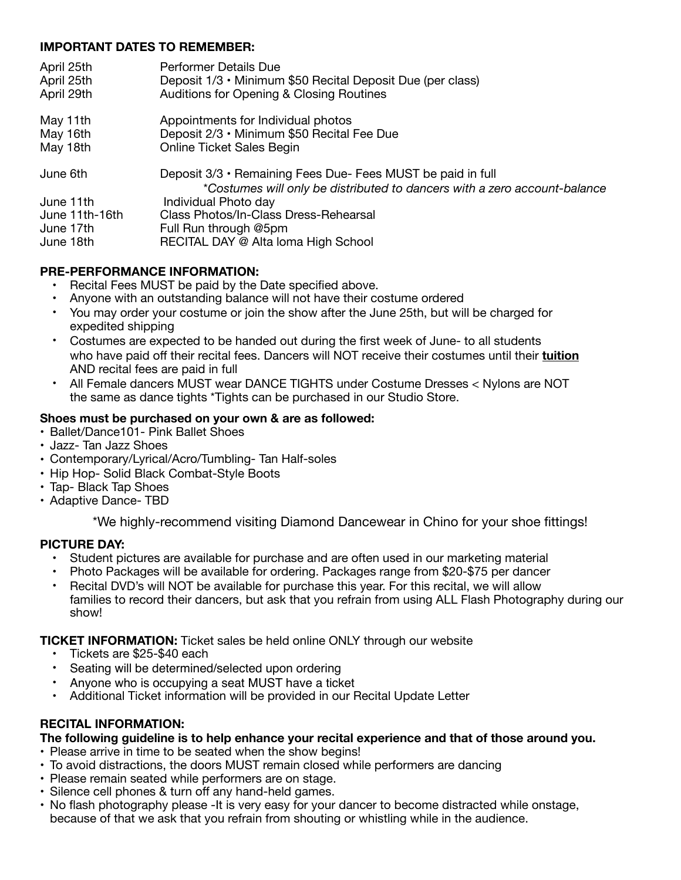### **IMPORTANT DATES TO REMEMBER:**

| April 25th                  | <b>Performer Details Due</b>                                                                                                               |
|-----------------------------|--------------------------------------------------------------------------------------------------------------------------------------------|
| April 25th                  | Deposit 1/3 • Minimum \$50 Recital Deposit Due (per class)                                                                                 |
| April 29th                  | Auditions for Opening & Closing Routines                                                                                                   |
| May 11th                    | Appointments for Individual photos                                                                                                         |
| May 16th                    | Deposit 2/3 • Minimum \$50 Recital Fee Due                                                                                                 |
| May 18th                    | <b>Online Ticket Sales Begin</b>                                                                                                           |
| June 6th                    | Deposit 3/3 • Remaining Fees Due- Fees MUST be paid in full                                                                                |
| June 11th<br>June 11th-16th | *Costumes will only be distributed to dancers with a zero account-balance<br>Individual Photo day<br>Class Photos/In-Class Dress-Rehearsal |
| June 17th                   | Full Run through @5pm                                                                                                                      |
| June 18th                   | RECITAL DAY @ Alta Ioma High School                                                                                                        |

# **PRE-PERFORMANCE INFORMATION:**

- Recital Fees MUST be paid by the Date specified above.
- Anyone with an outstanding balance will not have their costume ordered
- You may order your costume or join the show after the June 25th, but will be charged for expedited shipping
- Costumes are expected to be handed out during the first week of June- to all students who have paid off their recital fees. Dancers will NOT receive their costumes until their **tuition** AND recital fees are paid in full
- All Female dancers MUST wear DANCE TIGHTS under Costume Dresses < Nylons are NOT the same as dance tights \*Tights can be purchased in our Studio Store.

### **Shoes must be purchased on your own & are as followed:**

- Ballet/Dance101- Pink Ballet Shoes
- Jazz- Tan Jazz Shoes
- Contemporary/Lyrical/Acro/Tumbling- Tan Half-soles
- Hip Hop- Solid Black Combat-Style Boots
- Tap- Black Tap Shoes
- Adaptive Dance- TBD

\*We highly-recommend visiting Diamond Dancewear in Chino for your shoe fittings!

#### **PICTURE DAY:**

- Student pictures are available for purchase and are often used in our marketing material
- Photo Packages will be available for ordering. Packages range from \$20-\$75 per dancer
- Recital DVD's will NOT be available for purchase this year. For this recital, we will allow families to record their dancers, but ask that you refrain from using ALL Flash Photography during our show!

#### **TICKET INFORMATION:** Ticket sales be held online ONLY through our website

- Tickets are \$25-\$40 each
- Seating will be determined/selected upon ordering
- Anyone who is occupying a seat MUST have a ticket
- Additional Ticket information will be provided in our Recital Update Letter

# **RECITAL INFORMATION:**

#### **The following guideline is to help enhance your recital experience and that of those around you.**

- Please arrive in time to be seated when the show begins!
- To avoid distractions, the doors MUST remain closed while performers are dancing
- Please remain seated while performers are on stage.
- Silence cell phones & turn off any hand-held games.
- No flash photography please -It is very easy for your dancer to become distracted while onstage, because of that we ask that you refrain from shouting or whistling while in the audience.